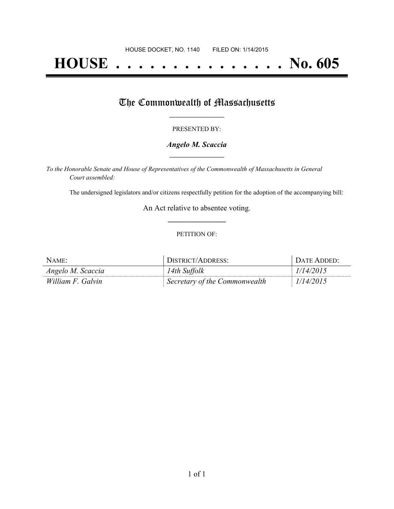# **HOUSE . . . . . . . . . . . . . . . No. 605**

## The Commonwealth of Massachusetts

#### PRESENTED BY:

#### *Angelo M. Scaccia* **\_\_\_\_\_\_\_\_\_\_\_\_\_\_\_\_\_**

*To the Honorable Senate and House of Representatives of the Commonwealth of Massachusetts in General Court assembled:*

The undersigned legislators and/or citizens respectfully petition for the adoption of the accompanying bill:

An Act relative to absentee voting. **\_\_\_\_\_\_\_\_\_\_\_\_\_\_\_**

#### PETITION OF:

| NAME:             | DISTRICT/ADDRESS:             | DATE ADDED: |
|-------------------|-------------------------------|-------------|
| Angelo M. Scaccia | 14th Suffolk                  | 1/14/2015   |
| William F. Galvin | Secretary of the Commonwealth | 1/14/2015   |